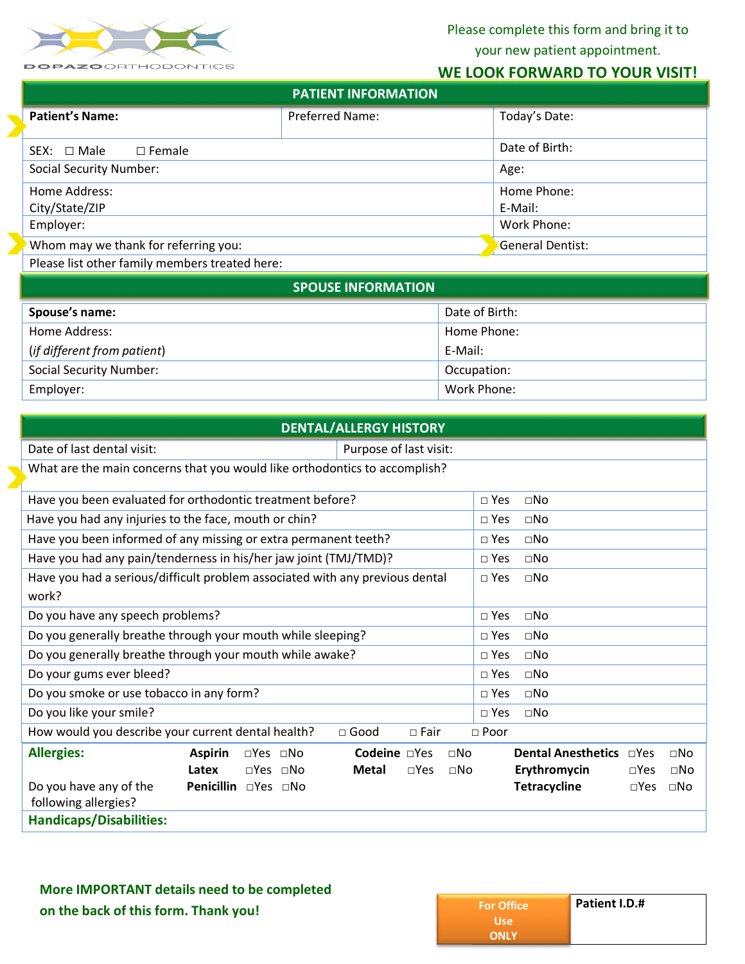

Please complete this form and bring it to your new patient appointment.

## **WE LOOK FORWARD TO YOUR VISIT!**

| <b>PATIENT INFORMATION</b>                     |                  |                |  |  |  |
|------------------------------------------------|------------------|----------------|--|--|--|
| <b>Patient's Name:</b>                         | Preferred Name:  | Today's Date:  |  |  |  |
| $\Box$ Female<br>SEX: $\Box$ Male              |                  | Date of Birth: |  |  |  |
| <b>Social Security Number:</b>                 |                  | Age:           |  |  |  |
| Home Address:                                  |                  | Home Phone:    |  |  |  |
| City/State/ZIP                                 |                  | E-Mail:        |  |  |  |
| Employer:                                      | Work Phone:      |                |  |  |  |
| Whom may we thank for referring you:           | General Dentist: |                |  |  |  |
| Please list other family members treated here: |                  |                |  |  |  |
|                                                |                  |                |  |  |  |

| <b>SPOUSE INFORMATION</b>      |                |  |  |  |
|--------------------------------|----------------|--|--|--|
| Spouse's name:                 | Date of Birth: |  |  |  |
| Home Address:                  | Home Phone:    |  |  |  |
| (if different from patient)    | E-Mail:        |  |  |  |
| <b>Social Security Number:</b> | Occupation:    |  |  |  |
| Employer:                      | Work Phone:    |  |  |  |

| <b>DENTAL/ALLERGY HISTORY</b>                                              |                                                                              |                                        |               |                           |               |           |  |
|----------------------------------------------------------------------------|------------------------------------------------------------------------------|----------------------------------------|---------------|---------------------------|---------------|-----------|--|
| Date of last dental visit:                                                 |                                                                              |                                        |               |                           |               |           |  |
| What are the main concerns that you would like orthodontics to accomplish? |                                                                              |                                        |               |                           |               |           |  |
| Have you been evaluated for orthodontic treatment before?                  | $\square$ Yes                                                                | $\square$ No                           |               |                           |               |           |  |
| Have you had any injuries to the face, mouth or chin?                      |                                                                              |                                        | $\Box$ Yes    | $\square$ No              |               |           |  |
| Have you been informed of any missing or extra permanent teeth?            |                                                                              |                                        | $\square$ Yes | $\Box$ No                 |               |           |  |
|                                                                            | Have you had any pain/tenderness in his/her jaw joint (TMJ/TMD)?             |                                        | $\Box$ Yes    | $\square$ No              |               |           |  |
|                                                                            | Have you had a serious/difficult problem associated with any previous dental |                                        | $\square$ Yes | $\Box$ No                 |               |           |  |
| work?                                                                      |                                                                              |                                        |               |                           |               |           |  |
| Do you have any speech problems?                                           |                                                                              |                                        | $\square$ Yes | $\square$ No              |               |           |  |
|                                                                            | Do you generally breathe through your mouth while sleeping?                  |                                        | $\square$ Yes | $\Box$ No                 |               |           |  |
|                                                                            | Do you generally breathe through your mouth while awake?                     |                                        | $\square$ Yes | $\square$ No              |               |           |  |
| Do your gums ever bleed?                                                   |                                                                              |                                        | $\Box$ Yes    | $\Box$ No                 |               |           |  |
| Do you smoke or use tobacco in any form?                                   |                                                                              |                                        | $\square$ Yes | $\square$ No              |               |           |  |
| Do you like your smile?                                                    |                                                                              |                                        | $\Box$ Yes    | $\Box$ No                 |               |           |  |
| How would you describe your current dental health?                         |                                                                              | $\Box$ Good<br>$\Box$ Fair             | □ Poor        |                           |               |           |  |
| <b>Allergies:</b>                                                          | <b>Aspirin</b><br>$\square$ Yes $\square$ No                                 | Codeine □Yes<br>$\Box$ No              |               | <b>Dental Anesthetics</b> | $\neg$ Yes    | $\Box$ No |  |
|                                                                            | Latex<br>$\Box$ Yes $\Box$ No                                                | Metal<br>$\square$ Yes<br>$\square$ No |               | Erythromycin              | $\square$ Yes | $\Box$ No |  |
| Do you have any of the                                                     | Penicillin □Yes □No                                                          |                                        |               | <b>Tetracycline</b>       | $\square$ Yes | $\Box$ No |  |
| following allergies?                                                       |                                                                              |                                        |               |                           |               |           |  |
| <b>Handicaps/Disabilities:</b>                                             |                                                                              |                                        |               |                           |               |           |  |